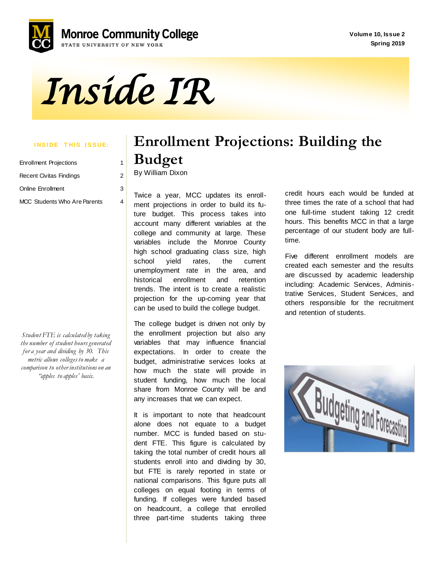**Volume 10, Issue 2 Spring 2019**



*Inside IR* 

#### **INSIDE THIS ISSUE:**

| <b>Enrollment Projections</b> | 1             |  |
|-------------------------------|---------------|--|
| Recent Civitas Findings       | $\mathcal{P}$ |  |
| Online Enrollment             | 3             |  |
| MCC Students Who Are Parents  |               |  |

*Student FTE is calculated by taking the number of student hours generated for a year and dividing by 30. This metric allows colleges to make a comparison to other institutions on an "apples to apples' basis.*

# **Enrollment Projections: Building the Budget**

By William Dixon

ture projections in eract to bails to the<br>ture budget. This process takes into Twice a year, MCC updates its enrollment projections in order to build its fuaccount many different variables at the college and community at large. These variables include the Monroe County high school graduating class size, high school yield rates, the current unemployment rate in the area, and historical enrollment and retention trends. The intent is to create a realistic projection for the up-coming year that can be used to build the college budget.

The college budget is driven not only by the enrollment projection but also any variables that may influence financial expectations. In order to create the budget, administrative services looks at how much the state will provide in student funding, how much the local share from Monroe County will be and any increases that we can expect.

It is important to note that headcount alone does not equate to a budget number. MCC is funded based on student FTE. This figure is calculated by taking the total number of credit hours all students enroll into and dividing by 30, but FTE is rarely reported in state or national comparisons. This figure puts all colleges on equal footing in terms of funding. If colleges were funded based on headcount, a college that enrolled three part-time students taking three credit hours each would be funded at three times the rate of a school that had one full-time student taking 12 credit hours. This benefits MCC in that a large percentage of our student body are fulltime.

Five different enrollment models are created each semester and the results are discussed by academic leadership including: Academic Services, Administrative Services, Student Services, and others responsible for the recruitment and retention of students.

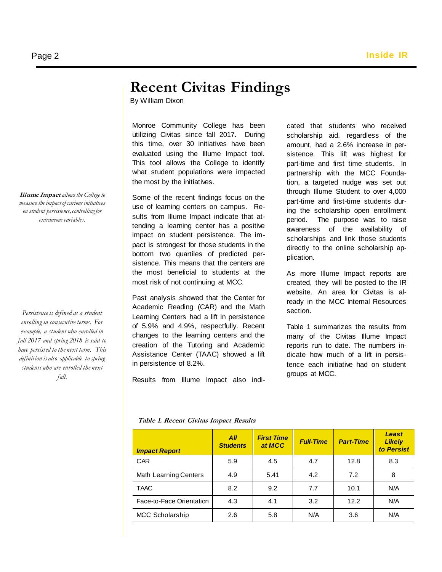### **Recent Civitas Findings**

By William Dixon

 This tool allows the College to identify Monroe Community College has been utilizing Civitas since fall 2017. During this time, over 30 initiatives have been evaluated using the Illume Impact tool. what student populations were impacted the most by the initiatives.

 sistence. This means that the centers are Some of the recent findings focus on the use of learning centers on campus. Results from Illume Impact indicate that attending a learning center has a positive impact on student persistence. The impact is strongest for those students in the bottom two quartiles of predicted perthe most beneficial to students at the most risk of not continuing at MCC.

Past analysis showed that the Center for Academic Reading (CAR) and the Math Learning Centers had a lift in persistence of 5.9% and 4.9%, respectfully. Recent changes to the learning centers and the creation of the Tutoring and Academic Assistance Center (TAAC) showed a lift in persistence of 8.2%.

Results from Illume Impact also indi-

cated that students who received scholarship aid, regardless of the amount, had a 2.6% increase in persistence. This lift was highest for part-time and first time students. In partnership with the MCC Foundation, a targeted nudge was set out through Illume Student to over 4,000 part-time and first-time students during the scholarship open enrollment period. The purpose was to raise awareness of the availability of scholarships and link those students directly to the online scholarship application.

As more Illume Impact reports are created, they will be posted to the IR website. An area for Civitas is already in the MCC Internal Resources section.

Table 1 summarizes the results from many of the Civitas Illume Impact reports run to date. The numbers indicate how much of a lift in persistence each initiative had on student groups at MCC.

|  | Table 1. Recent Civitas Impact Results |  |  |
|--|----------------------------------------|--|--|
|--|----------------------------------------|--|--|

| <b>Impact Report</b>     | All<br><b>Students</b> | <b>First Time</b><br>at MCC | <b>Full-Time</b> | <b>Part-Time</b> | Least<br><b>Likely</b><br>to Persist |
|--------------------------|------------------------|-----------------------------|------------------|------------------|--------------------------------------|
| <b>CAR</b>               | 5.9                    | 4.5                         | 4.7              | 12.8             | 8.3                                  |
| Math Learning Centers    | 4.9                    | 5.41                        | 4.2              | 7.2              | 8                                    |
| <b>TAAC</b>              | 8.2                    | 9.2                         | 7.7              | 10.1             | N/A                                  |
| Face-to-Face Orientation | 4.3                    | 4.1                         | 3.2              | 12.2             | N/A                                  |
| <b>MCC Scholarship</b>   | 2.6                    | 5.8                         | N/A              | 3.6              | N/A                                  |

**Illume Impact** *allows the College to measure the impact of various initiatives on student persistence, controlling for extraneous variables.* 

*Persistence is defined as a student enrolling in consecutive terms. For example, a student who enrolled in fall 2017 and spring 2018 is said to have persisted to the next term. This definition is also applicable to spring students who are enrolled the next fall.*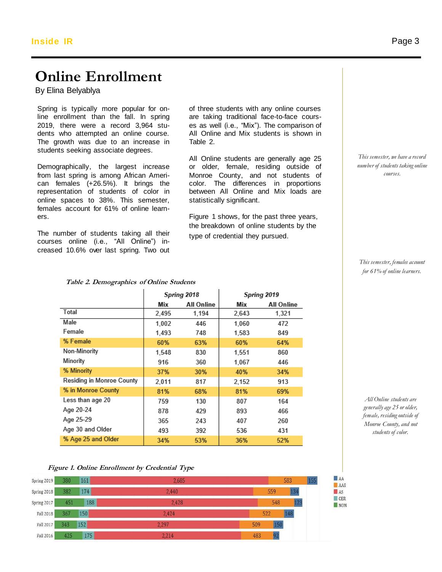#### **Online Enrollment Inside IR**

By Elina Belyablya

Spring is typically more popular for online enrollment than the fall. In spring 2019, there were a record 3,964 students who attempted an online course. The growth was due to an increase in students seeking associate degrees. Spring is typically more popular for on-<br>
line enrollment than the fall. In spring are taking traditional face-to-face cours-

Demographically, the largest increase from last spring is among African American females (+26.5%). It brings the representation of students of color in online spaces to 38%. This semester, females account for 61% of online learners.

The number of students taking all their courses online (i.e., "All Online") increased 10.6% over last spring. Two out es as well (i.e., "Mix"). The comparison of All Online and Mix students is shown in Table 2.

All Online students are generally age 25 or older, female, residing outside of Monroe County, and not students of color. The differences in proportions between All Online and Mix loads are statistically significant.

Figure 1 shows, for the past three years, the breakdown of online students by the type of credential they pursued.

*This semester, we have a record number of students taking online courses.*

*This semester, females account for 61% of online learners.*

*All Online students are generally age 25 or older, female, residing outside of Monroe County, and not students of color.*

|  | Figure 1. Online Enrollment by Credential Type |  |  |
|--|------------------------------------------------|--|--|
|  |                                                |  |  |

% Age 25 and Older

| Spring 2019 | 380 | 161 | 2,685 | 583        | 155 |
|-------------|-----|-----|-------|------------|-----|
| Spring 2018 | 382 | 174 | 2,440 | 559<br>134 |     |
| Spring 2017 | 451 | 188 | 2,428 | 123<br>548 |     |
| Fall 2018   | 367 | 150 | 2.424 | 148<br>522 |     |
| Fall 2017   | 343 | 152 | 2,297 | 150<br>509 |     |
| Fall 2016   | 425 | 175 | 2,214 | 92<br>483  |     |

53%

36%

52%

|                           | Spring 2018 |                   |       | Spring 2019       |
|---------------------------|-------------|-------------------|-------|-------------------|
|                           | Mix         | <b>All Online</b> | Mix   | <b>All Online</b> |
| Total                     | 2,495       | 1,194             | 2,643 | 1,321             |
| Male                      | 1.002       | 446               | 1.060 | 472               |
| Female                    | 1,493       | 748               | 1,583 | 849               |
| % Female                  | 60%         | 63%               | 60%   | 64%               |
| Non-Minority              | 1,548       | 830               | 1,551 | 860               |
| Minority                  | 916         | 360               | 1,067 | 446               |
| % Minority                | 37%         | 30%               | 40%   | 34%               |
| Residing in Monroe County | 2.011       | 817               | 2.152 | 913               |
| % in Monroe County        | 81%         | 68%               | 81%   | 69%               |
| Less than age 20          | 759         | 130               | 807   | 164               |
| Age 20-24                 | 878         | 429               | 893   | 466               |
| Age 25-29                 | 365         | 243               | 407   | 260               |
| Age 30 and Older          | 493         | 392               | 536   | 431               |

34%